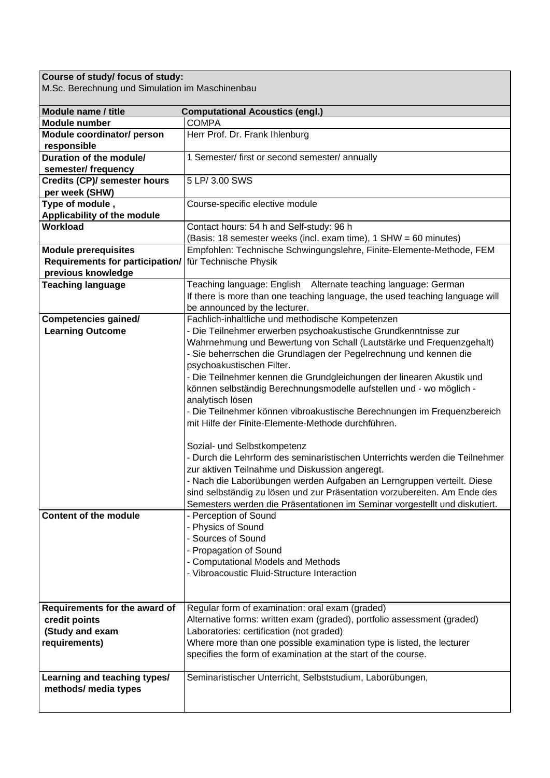## **Course of study/ focus of study:**

M.Sc. Berechnung und Simulation im Maschinenbau

| Module name / title                    | <b>Computational Acoustics (engl.)</b>                                       |
|----------------------------------------|------------------------------------------------------------------------------|
| <b>Module number</b>                   | <b>COMPA</b>                                                                 |
| Module coordinator/ person             | Herr Prof. Dr. Frank Ihlenburg                                               |
| responsible                            |                                                                              |
| Duration of the module/                | 1 Semester/ first or second semester/ annually                               |
| semester/ frequency                    |                                                                              |
| <b>Credits (CP)/ semester hours</b>    | 5 LP/ 3.00 SWS                                                               |
| per week (SHW)                         |                                                                              |
| Type of module,                        | Course-specific elective module                                              |
| Applicability of the module            |                                                                              |
| Workload                               | Contact hours: 54 h and Self-study: 96 h                                     |
|                                        | (Basis: 18 semester weeks (incl. exam time), 1 SHW = 60 minutes)             |
| <b>Module prerequisites</b>            | Empfohlen: Technische Schwingungslehre, Finite-Elemente-Methode, FEM         |
| <b>Requirements for participation/</b> | für Technische Physik                                                        |
| previous knowledge                     |                                                                              |
| <b>Teaching language</b>               | Teaching language: English Alternate teaching language: German               |
|                                        | If there is more than one teaching language, the used teaching language will |
|                                        | be announced by the lecturer.                                                |
| <b>Competencies gained/</b>            | Fachlich-inhaltliche und methodische Kompetenzen                             |
| <b>Learning Outcome</b>                | - Die Teilnehmer erwerben psychoakustische Grundkenntnisse zur               |
|                                        | Wahrnehmung und Bewertung von Schall (Lautstärke und Frequenzgehalt)         |
|                                        | - Sie beherrschen die Grundlagen der Pegelrechnung und kennen die            |
|                                        | psychoakustischen Filter.                                                    |
|                                        | - Die Teilnehmer kennen die Grundgleichungen der linearen Akustik und        |
|                                        | können selbständig Berechnungsmodelle aufstellen und - wo möglich -          |
|                                        | analytisch lösen                                                             |
|                                        | - Die Teilnehmer können vibroakustische Berechnungen im Frequenzbereich      |
|                                        | mit Hilfe der Finite-Elemente-Methode durchführen.                           |
|                                        |                                                                              |
|                                        | Sozial- und Selbstkompetenz                                                  |
|                                        | - Durch die Lehrform des seminaristischen Unterrichts werden die Teilnehmer  |
|                                        | zur aktiven Teilnahme und Diskussion angeregt.                               |
|                                        | - Nach die Laborübungen werden Aufgaben an Lerngruppen verteilt. Diese       |
|                                        | sind selbständig zu lösen und zur Präsentation vorzubereiten. Am Ende des    |
|                                        | Semesters werden die Präsentationen im Seminar vorgestellt und diskutiert.   |
| <b>Content of the module</b>           | - Perception of Sound                                                        |
|                                        | - Physics of Sound                                                           |
|                                        | - Sources of Sound                                                           |
|                                        | - Propagation of Sound                                                       |
|                                        | - Computational Models and Methods                                           |
|                                        | - Vibroacoustic Fluid-Structure Interaction                                  |
|                                        |                                                                              |
|                                        |                                                                              |
| Requirements for the award of          | Regular form of examination: oral exam (graded)                              |
| credit points                          | Alternative forms: written exam (graded), portfolio assessment (graded)      |
| (Study and exam                        | Laboratories: certification (not graded)                                     |
| requirements)                          | Where more than one possible examination type is listed, the lecturer        |
|                                        | specifies the form of examination at the start of the course.                |
|                                        |                                                                              |
| Learning and teaching types/           | Seminaristischer Unterricht, Selbststudium, Laborübungen,                    |
| methods/ media types                   |                                                                              |
|                                        |                                                                              |
|                                        |                                                                              |